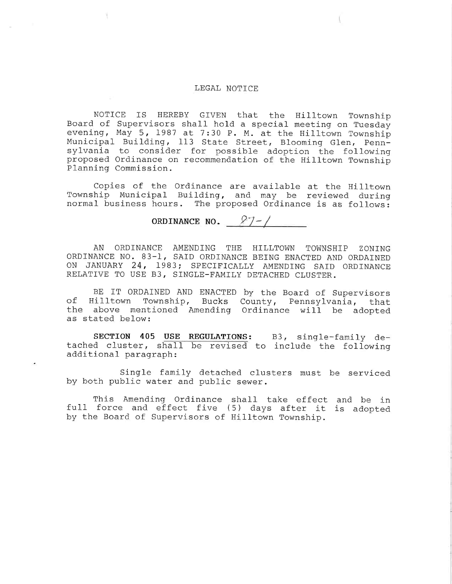## LEGAL NOTICE

NOTICE IS HEREBY GIVEN that the Hilltown Towns Board of Supervisors shall hold a special meeting on Tues evening, May 5, 1987 at 7:30 P. M. at the Hilltown Towns <code>Municipal Building, 113</code> State Street, Blooming Glen, Per for possible adoption the foll on recommendation of the Hilltown Towns sylvania to cons proposed Ordin Planning Commission.

Copies of the Ordinance are available at the Hilltown Township Municipal Building, and may be reviewed during normal business hours. The proposed Ordinance is as follows:

ORDINANCE NO.  $27-/$ 

AN ORDINANCE AMENDING THE HILLTOWN TOWNSHIP ZONING ORDINANCE N0. 83-1, SAID ORDINANCE BEING ENACTED AND ORDAINED ON JANUARY 24, 1983; SPECIFICALLY AMENDING SAID ORDINANCE RELATIVE TO USE B3, SINGLE-FAMILY DETACHED CLUSTER.

BE IT ORDAINED AND ENACTED by the Board of Supervisors of Hilltown Township, Bucks County, Pennsylvania, that the above mentioned Amending Ordinance will be adopted as stated below:

 $\texttt{SECTION} \quad \texttt{405} \quad \texttt{USE} \quad \texttt{REGULATIONS:} \qquad \texttt{B3,} \quad \texttt{single-family} \quad \texttt{def}$ tached cluster, shall be revised to include the foll $\epsilon$ additional paragraph:

Single family detached clusters must be serviced by both public water and public sewer.

This Amending Ordinance shall take effect and be i ruil force and effect five (5) days after it is adop by the Board of Supervisors of Hilltown Township.